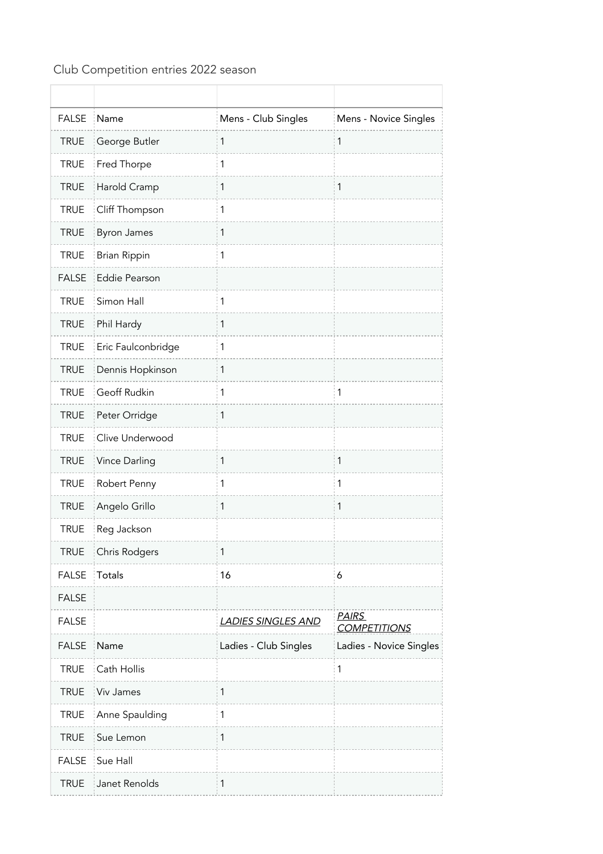## Club Competition entries 2022 season

| <b>FALSE</b> | Name                 | Mens - Club Singles       | Mens - Novice Singles               |
|--------------|----------------------|---------------------------|-------------------------------------|
| <b>TRUE</b>  | George Butler        | 1                         | 1                                   |
| <b>TRUE</b>  | Fred Thorpe          | 1                         |                                     |
| <b>TRUE</b>  | Harold Cramp         | 1                         | $\mathbf 1$                         |
| <b>TRUE</b>  | Cliff Thompson       | 1                         |                                     |
| <b>TRUE</b>  | <b>Byron James</b>   | 1                         |                                     |
| <b>TRUE</b>  | <b>Brian Rippin</b>  | 1                         |                                     |
| <b>FALSE</b> | <b>Eddie Pearson</b> |                           |                                     |
| <b>TRUE</b>  | Simon Hall           | 1                         |                                     |
| <b>TRUE</b>  | Phil Hardy           | 1                         |                                     |
| <b>TRUE</b>  | Eric Faulconbridge   | 1                         |                                     |
| <b>TRUE</b>  | Dennis Hopkinson     | 1                         |                                     |
| <b>TRUE</b>  | Geoff Rudkin         | 1                         | 1                                   |
| <b>TRUE</b>  | Peter Orridge        | $\mathbf{1}$              |                                     |
| <b>TRUE</b>  | Clive Underwood      |                           |                                     |
| <b>TRUE</b>  | Vince Darling        | 1                         | $\mathbf{1}$                        |
| <b>TRUE</b>  | Robert Penny         | 1                         | 1                                   |
| <b>TRUE</b>  | Angelo Grillo        | 1                         | 1                                   |
| <b>TRUE</b>  | Reg Jackson          |                           |                                     |
| <b>TRUE</b>  | Chris Rodgers        | 1                         |                                     |
| <b>FALSE</b> | Totals               | 16                        | 6                                   |
| <b>FALSE</b> |                      |                           |                                     |
| <b>FALSE</b> |                      | <b>LADIES SINGLES AND</b> | <b>PAIRS</b><br><b>COMPETITIONS</b> |
| <b>FALSE</b> | Name                 | Ladies - Club Singles     | Ladies - Novice Singles             |
| <b>TRUE</b>  | Cath Hollis          |                           | 1                                   |
| <b>TRUE</b>  | Viv James            | $\mathbf{1}$              |                                     |
| <b>TRUE</b>  | Anne Spaulding       | $\mathbf{1}$              |                                     |
| <b>TRUE</b>  | Sue Lemon            | $\mathbf{1}$              |                                     |
| <b>FALSE</b> | Sue Hall             |                           |                                     |
| <b>TRUE</b>  | Janet Renolds        | 1                         |                                     |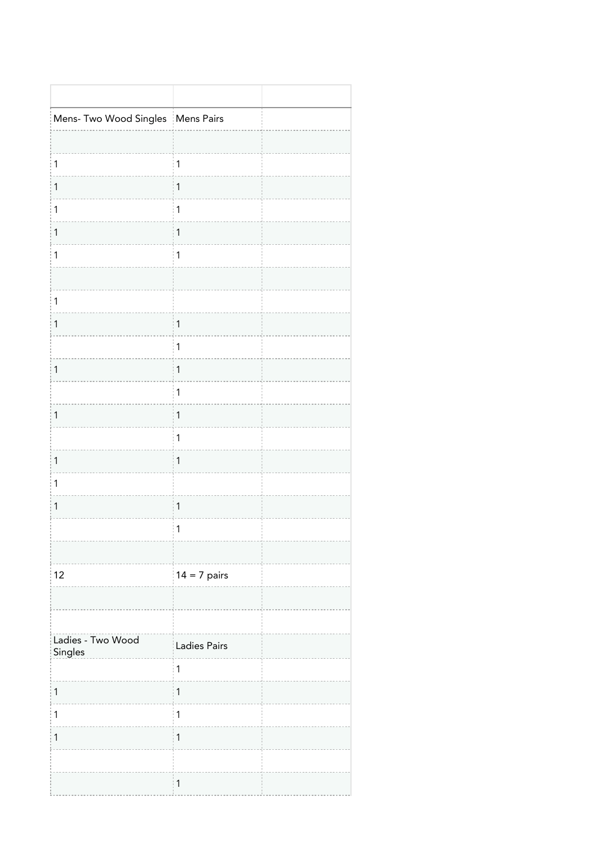| Mens- Two Wood Singles   Mens Pairs |                |  |
|-------------------------------------|----------------|--|
|                                     |                |  |
| $\mathbf{1}$                        | $\mathbf{1}$   |  |
| $\mathbf{1}$                        | $\mathbf{1}$   |  |
| $\mathbf{1}$                        | $\mathbf{1}$   |  |
| $\mathbf{1}$                        | $\mathbf{1}$   |  |
| $\mathbf{1}$                        | $\mathbf{1}$   |  |
|                                     |                |  |
| $\mathbf{1}$                        |                |  |
| $\mathbf{1}$                        | $\mathbf{1}$   |  |
|                                     | $\mathbf{1}$   |  |
| $\mathbf{1}$                        | $\mathbf{1}$   |  |
|                                     | $\mathbf{1}$   |  |
| $\mathbf{1}$                        | $\mathbf 1$    |  |
|                                     | $\mathbf 1$    |  |
| $\mathbf{1}$                        | $\mathbf{1}$   |  |
| $\mathbf{1}$                        |                |  |
| $\mathbf 1$                         | $\mathbf{1}$   |  |
|                                     | $\mathbf{1}$   |  |
|                                     |                |  |
| 12                                  | $14 = 7$ pairs |  |
|                                     |                |  |
|                                     |                |  |
| Ladies - Two Wood<br>Singles        | Ladies Pairs   |  |
|                                     | $\mathbf{1}$   |  |
| $\mathbf{1}$                        | $\mathbf{1}$   |  |
| $\mathbf{1}$                        | $\mathbf 1$    |  |
| $\mathbf{1}$                        | $\mathbf 1$    |  |
|                                     |                |  |
|                                     | $\mathbf{1}$   |  |
|                                     |                |  |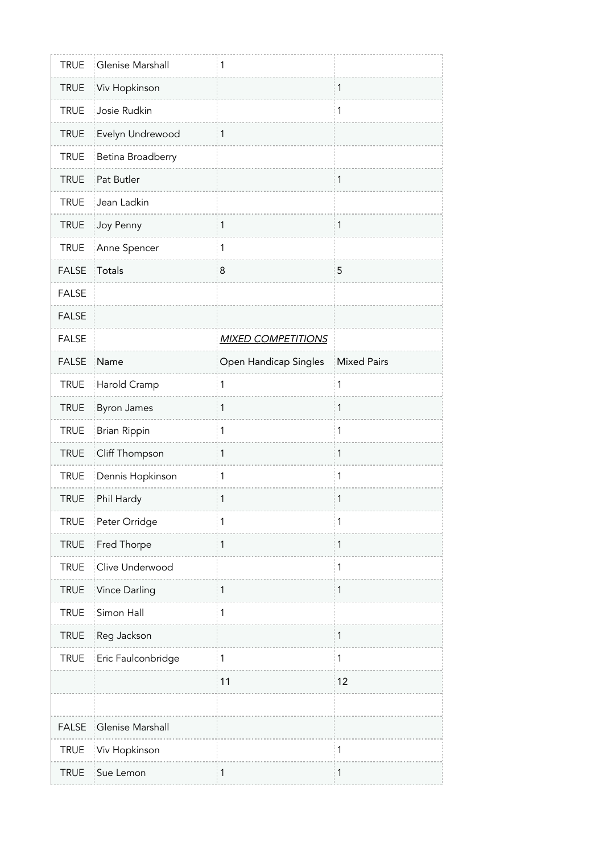| <b>TRUE</b>  | Glenise Marshall    | 1                         |                    |
|--------------|---------------------|---------------------------|--------------------|
| <b>TRUE</b>  | Viv Hopkinson       |                           | $\mathbf{1}$       |
| <b>TRUE</b>  | Josie Rudkin        |                           | $\mathbf{1}$       |
| <b>TRUE</b>  | Evelyn Undrewood    | 1                         |                    |
| <b>TRUE</b>  | Betina Broadberry   |                           |                    |
| <b>TRUE</b>  | Pat Butler          |                           | $\mathbf{1}$       |
| <b>TRUE</b>  | Jean Ladkin         |                           |                    |
| <b>TRUE</b>  | Joy Penny           | 1                         | $\mathbf{1}$       |
| <b>TRUE</b>  | Anne Spencer        | $\mathbf{1}$              |                    |
| <b>FALSE</b> | Totals              | 8                         | 5                  |
| <b>FALSE</b> |                     |                           |                    |
| <b>FALSE</b> |                     |                           |                    |
| <b>FALSE</b> |                     | <b>MIXED COMPETITIONS</b> |                    |
| <b>FALSE</b> | Name                | Open Handicap Singles     | <b>Mixed Pairs</b> |
| <b>TRUE</b>  | Harold Cramp        | 1                         | 1                  |
| <b>TRUE</b>  | <b>Byron James</b>  | 1                         | $\mathbf{1}$       |
| <b>TRUE</b>  | <b>Brian Rippin</b> | 1                         | 1                  |
| <b>TRUE</b>  | Cliff Thompson      | 1                         | $\mathbf{1}$       |
|              |                     |                           |                    |
| <b>TRUE</b>  | Dennis Hopkinson    | 1                         | $\mathbf{1}$       |
| <b>TRUE</b>  | Phil Hardy          | 1                         | 1                  |
| <b>TRUE</b>  | Peter Orridge       | 1                         | $\mathbf 1$        |
| <b>TRUE</b>  | Fred Thorpe         | 1                         | $\mathbf{1}$       |
| <b>TRUE</b>  | Clive Underwood     |                           | $\mathbf{1}$       |
| <b>TRUE</b>  | Vince Darling       | 1                         | $\mathbf{1}$       |
| <b>TRUE</b>  | Simon Hall          | 1                         |                    |
| <b>TRUE</b>  | Reg Jackson         |                           | $\mathbf{1}$       |
| <b>TRUE</b>  | Eric Faulconbridge  | $\mathbf{1}$              | $\mathbf{1}$       |
|              |                     | 11                        | 12                 |
|              |                     |                           |                    |
| <b>FALSE</b> | Glenise Marshall    |                           |                    |
| <b>TRUE</b>  | Viv Hopkinson       |                           | $\mathbf{1}$       |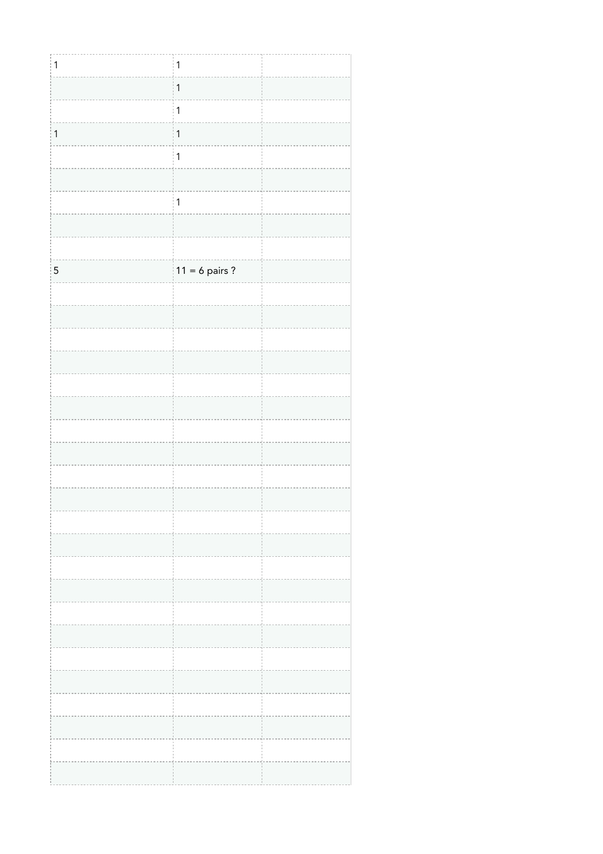| $\mathbf{1}$ | $\overline{1}$   |  |
|--------------|------------------|--|
|              | $\mathbf{1}$     |  |
|              | $\mathbf{1}$     |  |
| $\mathbf{1}$ | $\mathbf{1}$     |  |
|              | $\mathbf{1}$     |  |
|              |                  |  |
|              | $\mathbf{1}$     |  |
|              |                  |  |
|              |                  |  |
|              |                  |  |
| $\sqrt{5}$   | $11 = 6$ pairs ? |  |
|              |                  |  |
|              |                  |  |
|              |                  |  |
|              |                  |  |
|              |                  |  |
|              |                  |  |
|              |                  |  |
|              |                  |  |
|              |                  |  |
|              |                  |  |
|              |                  |  |
|              |                  |  |
|              |                  |  |
|              |                  |  |
|              |                  |  |
|              |                  |  |
|              |                  |  |
|              |                  |  |
|              |                  |  |
|              |                  |  |
|              |                  |  |
|              |                  |  |
|              |                  |  |
|              |                  |  |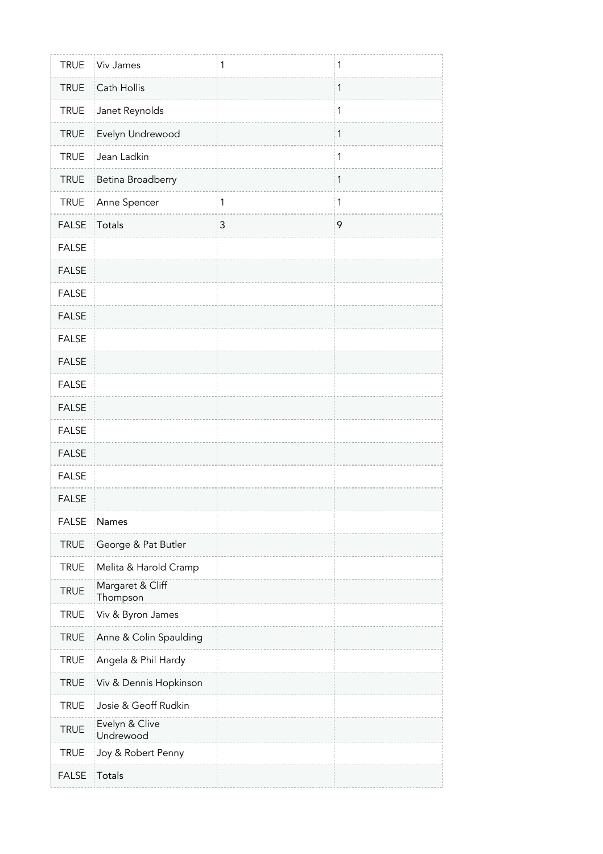| <b>TRUE</b>  | Viv James                    | 1            | 1 |
|--------------|------------------------------|--------------|---|
| <b>TRUE</b>  | Cath Hollis                  |              | 1 |
| <b>TRUE</b>  | Janet Reynolds               |              | 1 |
| <b>TRUE</b>  | Evelyn Undrewood             |              | 1 |
| <b>TRUE</b>  | Jean Ladkin                  |              | 1 |
| <b>TRUE</b>  | Betina Broadberry            |              | 1 |
| <b>TRUE</b>  | Anne Spencer                 | $\mathbf{1}$ | 1 |
| <b>FALSE</b> | Totals                       | 3            | 9 |
| <b>FALSE</b> |                              |              |   |
| <b>FALSE</b> |                              |              |   |
| <b>FALSE</b> |                              |              |   |
| <b>FALSE</b> |                              |              |   |
| <b>FALSE</b> |                              |              |   |
| <b>FALSE</b> |                              |              |   |
| <b>FALSE</b> |                              |              |   |
| <b>FALSE</b> |                              |              |   |
| <b>FALSE</b> |                              |              |   |
| <b>FALSE</b> |                              |              |   |
| <b>FALSE</b> |                              |              |   |
| <b>FALSE</b> |                              |              |   |
| <b>FALSE</b> | Names                        |              |   |
| <b>TRUE</b>  | George & Pat Butler          |              |   |
| <b>TRUE</b>  | Melita & Harold Cramp        |              |   |
| <b>TRUE</b>  | Margaret & Cliff<br>Thompson |              |   |
| <b>TRUE</b>  | Viv & Byron James            |              |   |
| <b>TRUE</b>  | Anne & Colin Spaulding       |              |   |
| <b>TRUE</b>  | Angela & Phil Hardy          |              |   |
| <b>TRUE</b>  | Viv & Dennis Hopkinson       |              |   |
| <b>TRUE</b>  | Josie & Geoff Rudkin         |              |   |
| <b>TRUE</b>  | Evelyn & Clive<br>Undrewood  |              |   |
| <b>TRUE</b>  | Joy & Robert Penny           |              |   |
| <b>FALSE</b> | Totals                       |              |   |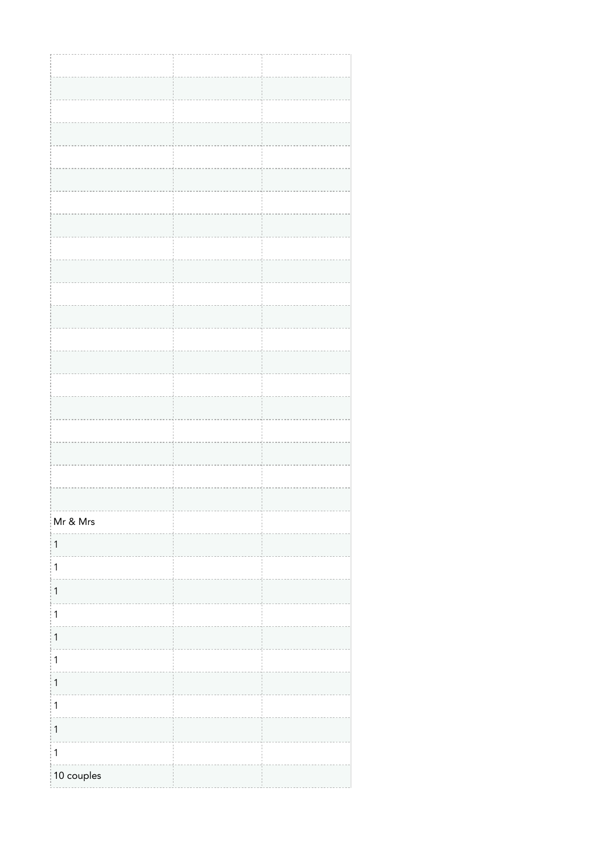| Mr & Mrs     |  |
|--------------|--|
| $\mathbf{1}$ |  |
| $\mathbf{1}$ |  |
|              |  |
| $\mathbf{1}$ |  |
| $\vert$ 1    |  |
| $\mathbf{1}$ |  |
| 1            |  |
| $\mathbf{1}$ |  |
| $\mathbf{1}$ |  |
| $\mathbf{1}$ |  |
| $\mathbf{1}$ |  |
| 10 couples   |  |
|              |  |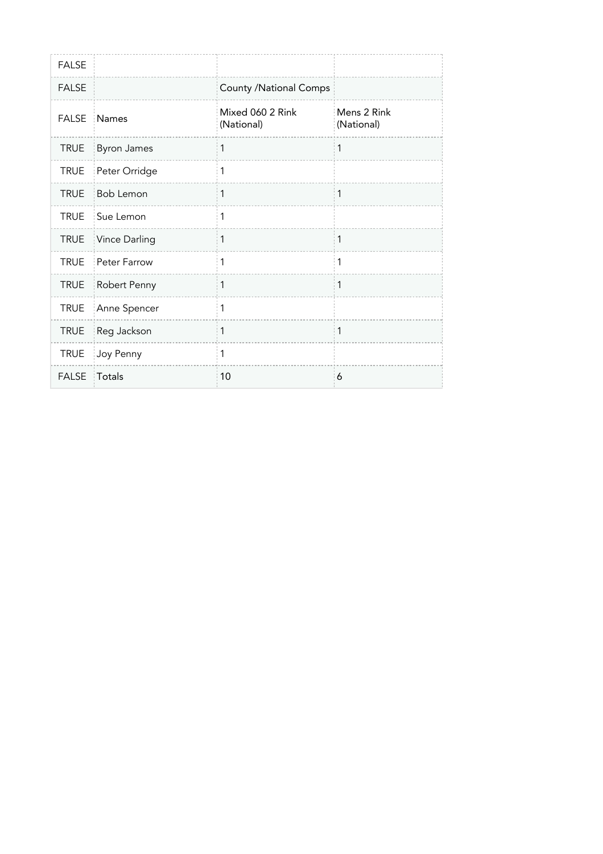| <b>FALSE</b> |                    |                                |                           |
|--------------|--------------------|--------------------------------|---------------------------|
| <b>FALSE</b> |                    | <b>County /National Comps</b>  |                           |
| <b>FALSE</b> | Names              | Mixed 060 2 Rink<br>(National) | Mens 2 Rink<br>(National) |
| <b>TRUE</b>  | <b>Byron James</b> | 1                              | 1                         |
| <b>TRUE</b>  | Peter Orridge      | 1                              |                           |
| <b>TRUE</b>  | Bob Lemon          | 1                              | $\mathbf{1}$              |
| <b>TRUE</b>  | Sue Lemon          | 1                              |                           |
| <b>TRUE</b>  | Vince Darling      | 1                              | 1                         |
| <b>TRUE</b>  | Peter Farrow       | 1                              | 1                         |
| <b>TRUE</b>  | Robert Penny       | 1                              | 1                         |
| <b>TRUE</b>  | Anne Spencer       | 1                              |                           |
| <b>TRUE</b>  | Reg Jackson        | 1                              | 1                         |
| <b>TRUE</b>  | Joy Penny          | 1                              |                           |
| <b>FALSE</b> | Totals             | 10                             | 6                         |